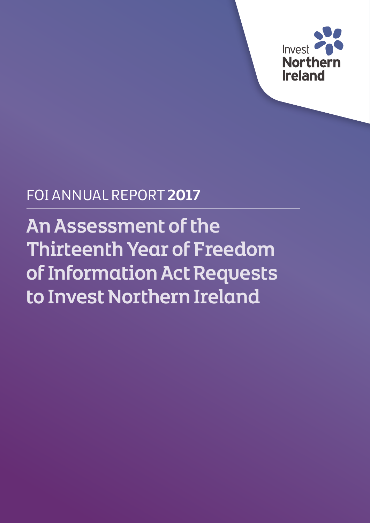

## FOI ANNUAL REPORT **2017**

An Assessment of the Thirteenth Year of Freedom of Information Act Requests to Invest Northern Ireland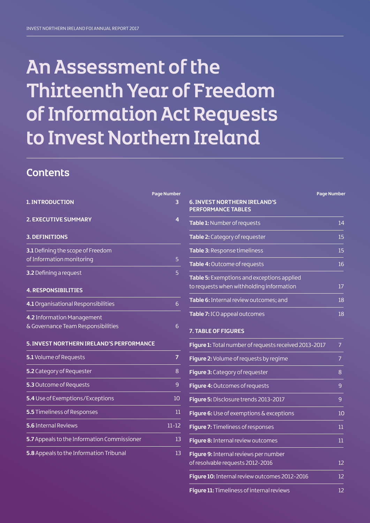## An Assessment of the Thirteenth Year of Freedom of Information Act Requests to Invest Northern Ireland

## **Contents**

|                                             | <b>Page Number</b> |
|---------------------------------------------|--------------------|
| <b>1. INTRODUCTION</b>                      | 3                  |
| 2. EXECUTIVE SUMMARY                        | 4                  |
| <b>3. DEFINITIONS</b>                       |                    |
| 3.1 Defining the scope of Freedom           |                    |
| of Information monitoring                   | 5                  |
| 3.2 Defining a request                      | 5                  |
| <b>4. RESPONSIBILITIES</b>                  |                    |
| 4.1 Organisational Responsibilities         | 6                  |
| 4.2 Information Management                  |                    |
| & Governance Team Responsibilities          | 6                  |
| 5. INVEST NORTHERN IRELAND'S PERFORMANCE    |                    |
| 5.1 Volume of Requests                      | $\overline{7}$     |
| 5.2 Category of Requester                   | 8                  |
| 5.3 Outcome of Requests                     | 9                  |
| 5.4 Use of Exemptions/Exceptions            | 10                 |
| 5.5 Timeliness of Responses                 | 11                 |
| 5.6 Internal Reviews                        | $11 - 12$          |
| 5.7 Appeals to the Information Commissioner | 13                 |
| 5.8 Appeals to the Information Tribunal     | 13                 |

| <u> 6. INVEST NORTHERN IRELAND'S</u>              | <b>Page Number</b> |
|---------------------------------------------------|--------------------|
| <b>PERFORMANCE TABLES</b>                         |                    |
| <b>Table 1:</b> Number of requests                | 14                 |
| Table 2: Category of requester                    | 15                 |
| Table 3: Response timeliness                      | 15                 |
| Table 4: Outcome of requests                      | 16                 |
| <b>Table 5:</b> Exemptions and exceptions applied |                    |
| to requests when withholding information          | 17                 |
| <b>Table 6:</b> Internal review outcomes; and     | 18                 |
| Table 7: ICO appeal outcomes                      | 18                 |
| <b>7. TABLE OF FIGURES</b>                        |                    |

| Figure 1: Total number of requests received 2013-2017                            | 7      |
|----------------------------------------------------------------------------------|--------|
| Figure 2: Volume of requests by regime                                           | 7      |
| Figure 3: Category of requester                                                  | 8      |
| Figure 4: Outcomes of requests                                                   | 9      |
| Figure 5: Disclosure trends 2013-2017                                            | 9      |
| <b>Figure 6:</b> Use of exemptions $\&$ exceptions                               | 10     |
| Figure 7: Timeliness of responses                                                | $11\,$ |
| Figure 8: Internal review outcomes                                               | $11\,$ |
| <b>Figure 9:</b> Internal reviews per number<br>of resolvable requests 2012-2016 | 12     |
| Figure 10: Internal review outcomes 2012-2016                                    | 12     |
| <b>Figure 11:</b> Timeliness of internal reviews                                 | 12     |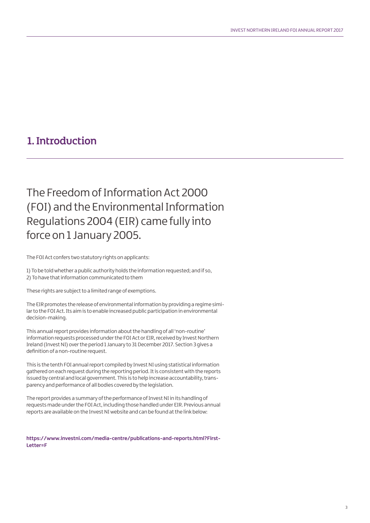## 1. Introduction

The Freedom of Information Act 2000 (FOI) and the Environmental Information Regulations 2004 (EIR) came fully into force on 1 January 2005.

The FOI Act confers two statutory rights on applicants:

1) To be told whether a public authority holds the information requested; and if so, 2) To have that information communicated to them

These rights are subject to a limited range of exemptions.

The EIR promotes the release of environmental information by providing a regime similar to the FOI Act. Its aim is to enable increased public participation in environmental decision-making.

This annual report provides information about the handling of all 'non-routine' information requests processed under the FOI Act or EIR, received by Invest Northern Ireland (Invest NI) over the period 1 January to 31 December 2017. Section 3 gives a definition of a non-routine request.

This is the tenth FOI annual report compiled by Invest NI using statistical information gathered on each request during the reporting period. It is consistent with the reports issued by central and local government. This is to help increase accountability, transparency and performance of all bodies covered by the legislation.

The report provides a summary of the performance of Invest NI in its handling of requests made under the FOI Act, including those handled under EIR. Previous annual reports are available on the Invest NI website and can be found at the link below:

**https://www.investni.com/media-centre/publications-and-reports.html?First-Letter=F**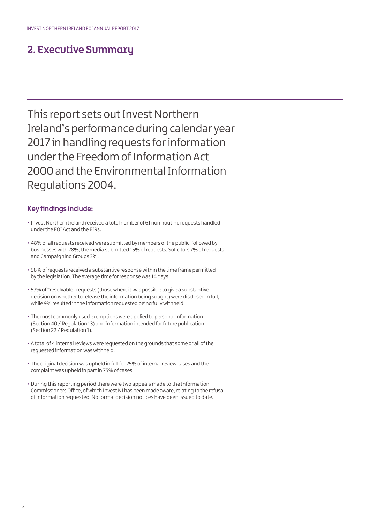### 2. Executive Summary

This report sets out Invest Northern Ireland's performance during calendar year 2017 in handling requests for information under the Freedom of Information Act 2000 and the Environmental Information Regulations 2004.

### **Key findings include:**

- Invest Northern Ireland received a total number of 61 non-routine requests handled under the FOI Act and the EIRs.
- 48% of all requests received were submitted by members of the public, followed by businesses with 28%, the media submitted 15% of requests, Solicitors 7% of requests and Campaigning Groups 3%.
- 98% of requests received a substantive response within the time frame permitted by the legislation. The average time for response was 14 days.
- 53% of "resolvable" requests (those where it was possible to give a substantive decision on whether to release the information being sought) were disclosed in full, while 9% resulted in the information requested being fully withheld.
- The most commonly used exemptions were applied to personal information (Section 40 / Regulation 13) and Information intended for future publication (Section 22 / Regulation 1).
- A total of 4 internal reviews were requested on the grounds that some or all of the requested information was withheld.
- The original decision was upheld in full for 25% of internal review cases and the complaint was upheld in part in 75% of cases.
- During this reporting period there were two appeals made to the Information Commissioners Office, of which Invest NI has been made aware, relating to the refusal of information requested. No formal decision notices have been issued to date.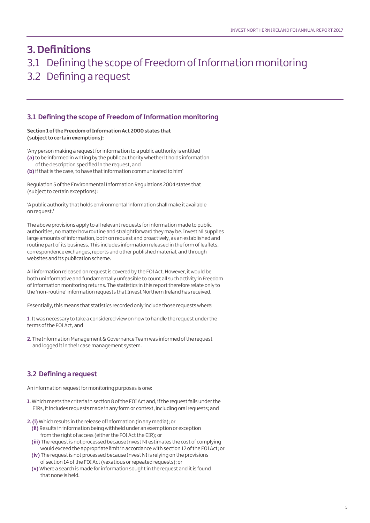## 3. Definitions 3.1 Defining the scope of Freedom of Information monitoring 3.2 Defining a request

### **3.1 Defining the scope of Freedom of Information monitoring**

### **Section 1 of the Freedom of Information Act 2000 states that (subject to certain exemptions):**

'Any person making a request for information to a public authority is entitled **(a)** to be informed in writing by the public authority whether it holds information of the description specified in the request, and

**(b)** if that is the case, to have that information communicated to him'

Regulation 5 of the Environmental Information Regulations 2004 states that (subject to certain exceptions):

'A public authority that holds environmental information shall make it available on request.'

The above provisions apply to all relevant requests for information made to public authorities, no matter how routine and straightforward they may be. Invest NI supplies large amounts of information, both on request and proactively, as an established and routine part of its business. This includes information released in the form of leaflets, correspondence exchanges, reports and other published material, and through websites and its publication scheme.

All information released on request is covered by the FOI Act. However, it would be both uninformative and fundamentally unfeasible to count all such activity in Freedom of Information monitoring returns. The statistics in this report therefore relate only to the 'non-routine' information requests that Invest Northern Ireland has received.

Essentially, this means that statistics recorded only include those requests where:

**1.** It was necessary to take a considered view on how to handle the request under the terms of the FOI Act, and

**2.** The Information Management & Governance Team was informed of the request and logged it in their case management system.

### **3.2 Defining a request**

An information request for monitoring purposes is one:

- **1.** Which meets the criteria in section 8 of the FOI Act and, if the request falls under the EIRs, it includes requests made in any form or context, including oral requests; and
- **2. (i)** Which results in the release of information (in any media); or
- **(ii)** Results in information being withheld under an exemption or exception from the right of access (either the FOI Act the EIR); or
- **(iii)** The request is not processed because Invest NI estimates the cost of complying would exceed the appropriate limit in accordance with section 12 of the FOI Act; or
- **(iv)** The request is not processed because Invest NI is relying on the provisions of section 14 of the FOI Act (vexatious or repeated requests); or
- **(v)** Where a search is made for information sought in the request and it is found that none is held.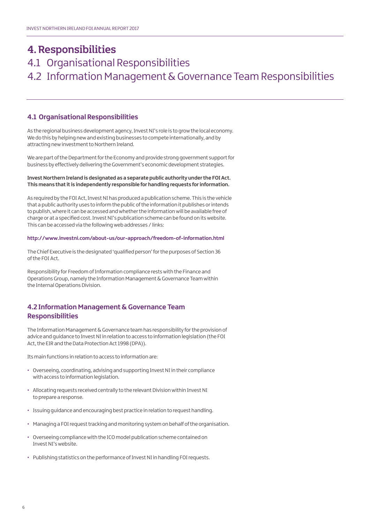## 4. Responsibilities

## 4.1 Organisational Responsibilities 4.2 Information Management & Governance Team Responsibilities

### **4.1 Organisational Responsibilities**

As the regional business development agency, Invest NI's role is to grow the local economy. We do this by helping new and existing businesses to compete internationally, and by attracting new investment to Northern Ireland.

We are part of the Department for the Economy and provide strong government support for business by effectively delivering the Government's economic development strategies.

### **Invest Northern Ireland is designated as a separate public authority under the FOI Act. This means that it is independently responsible for handling requests for information.**

As required by the FOI Act, Invest NI has produced a publication scheme. This is the vehicle that a public authority uses to inform the public of the information it publishes or intends to publish, where it can be accessed and whether the information will be available free of charge or at a specified cost. Invest NI's publication scheme can be found on its website. This can be accessed via the following web addresses / links:

### **http://www.investni.com/about-us/our-approach/freedom-of-information.html**

The Chief Executive is the designated 'qualified person' for the purposes of Section 36 of the FOI Act.

Responsibility for Freedom of Information compliance rests with the Finance and Operations Group, namely the Information Management & Governance Team within the Internal Operations Division.

### **4.2 Information Management & Governance Team Responsibilities**

The Information Management & Governance team has responsibility for the provision of advice and guidance to Invest NI in relation to access to information legislation (the FOI Act, the EIR and the Data Protection Act 1998 (DPA)).

Its main functions in relation to access to information are:

- Overseeing, coordinating, advising and supporting Invest NI in their compliance with access to information legislation.
- Allocating requests received centrally to the relevant Division within Invest NI to prepare a response.
- Issuing guidance and encouraging best practice in relation to request handling.
- Managing a FOI request tracking and monitoring system on behalf of the organisation.
- Overseeing compliance with the ICO model publication scheme contained on Invest NI's website.
- Publishing statistics on the performance of Invest NI in handling FOI requests.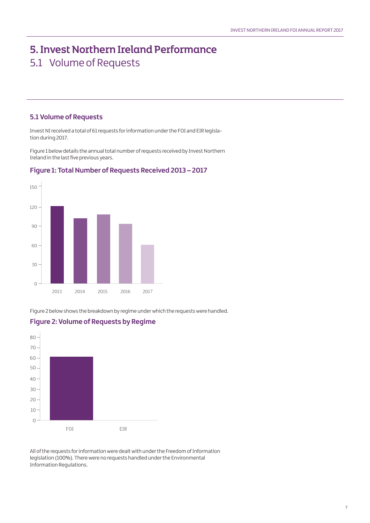## 5. Invest Northern Ireland Performance 5.1 Volume of Requests

### **5.1 Volume of Requests**

Invest NI received a total of 61 requests for information under the FOI and EIR legislation during 2017.

Figure 1 below details the annual total number of requests received by Invest Northern Ireland in the last five previous years.



### **Figure 1: Total Number of Requests Received 2013 – 2017**

Figure 2 below shows the breakdown by regime under which the requests were handled.

### **Figure 2: Volume of Requests by Regime**  $80 -$ 70 60 50 - $40<sup>1</sup>$ 30  $20 -$ 10  $\circ$ FOI EIR

All of the requests for information were dealt with under the Freedom of Information legislation (100%). There were no requests handled under the Environmental Information Regulations.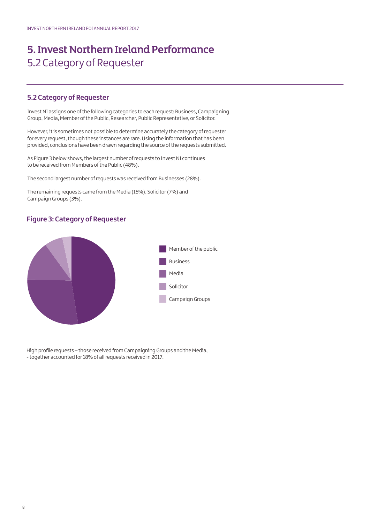## 5. Invest Northern Ireland Performance 5.2 Category of Requester

### **5.2 Category of Requester**

Invest NI assigns one of the following categories to each request: Business, Campaigning Group, Media, Member of the Public, Researcher, Public Representative, or Solicitor.

However, it is sometimes not possible to determine accurately the category of requester for every request, though these instances are rare. Using the information that has been provided, conclusions have been drawn regarding the source of the requests submitted.

As Figure 3 below shows, the largest number of requests to Invest NI continues to be received from Members of the Public (48%).

The second largest number of requests was received from Businesses (28%).

The remaining requests came from the Media (15%), Solicitor (7%) and Campaign Groups (3%).

### **Figure 3: Category of Requester**



High profile requests – those received from Campaigning Groups and the Media, - together accounted for 18% of all requests received in 2017.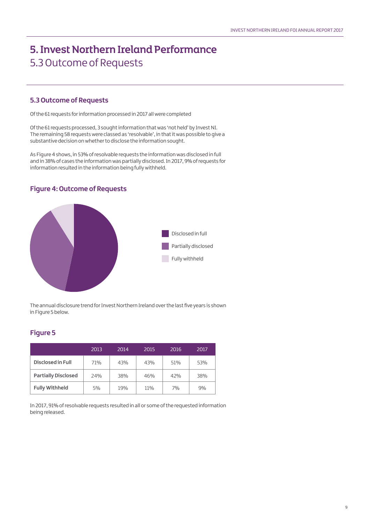## 5. Invest Northern Ireland Performance 5.3 Outcome of Requests

### **5.3 Outcome of Requests**

Of the 61 requests for information processed in 2017 all were completed

Of the 61 requests processed, 3 sought information that was 'not held' by Invest NI. The remaining 58 requests were classed as 'resolvable', in that it was possible to give a substantive decision on whether to disclose the information sought.

As Figure 4 shows, in 53% of resolvable requests the information was disclosed in full and in 38% of cases the information was partially disclosed. In 2017, 9% of requests for information resulted in the information being fully withheld.

### **Figure 4: Outcome of Requests**



The annual disclosure trend for Invest Northern Ireland over the last five years is shown in Figure 5 below.

### **Figure 5**

|                            | 2013 | 2014 | 2015 | 2016 | 2017 |
|----------------------------|------|------|------|------|------|
| Disclosed in Full          | 71%  | 43%  | 43%  | 51%  | 53%  |
| <b>Partially Disclosed</b> | 24%  | 38%  | 46%  | 42%  | 38%  |
| <b>Fully Withheld</b>      | 5%   | 19%  | 11%  | 7%   | 9%   |

In 2017, 91% of resolvable requests resulted in all or some of the requested information being released.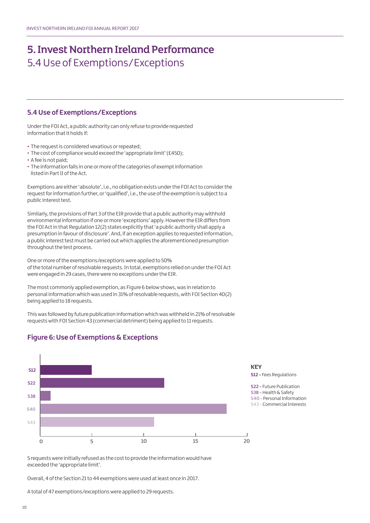## 5. Invest Northern Ireland Performance 5.4 Use of Exemptions/Exceptions

### **5.4 Use of Exemptions/Exceptions**

Under the FOI Act, a public authority can only refuse to provide requested information that it holds if:

- The request is considered vexatious or repeated;
- The cost of compliance would exceed the 'appropriate limit' (£450);
- A fee is not paid;
- The information falls in one or more of the categories of exempt information listed in Part II of the Act.

Exemptions are either 'absolute', i.e., no obligation exists under the FOI Act to consider the request for information further, or 'qualified', i.e., the use of the exemption is subject to a public interest test.

Similarly, the provisions of Part 3 of the EIR provide that a public authority may withhold environmental information if one or more 'exceptions' apply. However the EIR differs from the FOI Act in that Regulation 12(2) states explicitly that 'a public authority shall apply a presumption in favour of disclosure'. And, if an exception applies to requested information, a public interest test must be carried out which applies the aforementioned presumption throughout the test process.

One or more of the exemptions/exceptions were applied to 50% of the total number of resolvable requests. In total, exemptions relied on under the FOI Act were engaged in 29 cases, there were no exceptions under the EIR.

The most commonly applied exemption, as Figure 6 below shows, was in relation to personal information which was used in 31% of resolvable requests, with FOI Section 40(2) being applied to 18 requests.

This was followed by future publication information which was withheld in 21% of resolvable requests with FOI Section 43 (commercial detriment) being applied to 11 requests.



**Figure 6: Use of Exemptions & Exceptions**

**KEY S12 -** Fees Regulations

**S22 -** Future Publication **S38 -**Health & Safety **S40 -** Personal Information **S43 -** Commercial Interests

5 requests were initially refused as the cost to provide the information would have exceeded the 'appropriate limit'.

Overall, 4 of the Section 21 to 44 exemptions were used at least once in 2017.

A total of 47 exemptions/exceptions were applied to 29 requests.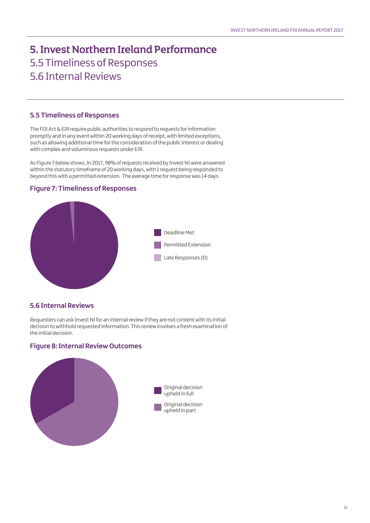## 5. Invest Northern Ireland Performance 5.5 Timeliness of Responses 5.6 Internal Reviews

### **5.5 Timeliness of Responses**

The FOI Act & EIR require public authorities to respond to requests for information promptly and in any event within 20 working days of receipt, with limited exceptions, such as allowing additional time for the consideration of the public interest or dealing with complex and voluminous requests under EIR.

As Figure 7 below shows, in 2017, 98% of requests received by Invest NI were answered within the statutory timeframe of 20 working days, with 1 request being responded to beyond this with a permitted extension. The average time for response was 14 days.

# Deadline Met Permitted Extension Late Responses (0)

### **Figure 7: Timeliness of Responses**

### **5.6 Internal Reviews**

Requesters can ask Invest NI for an internal review if they are not content with its initial decision to withhold requested information. This review involves a fresh examination of the initial decision.

### **Figure 8: Internal Review Outcomes**

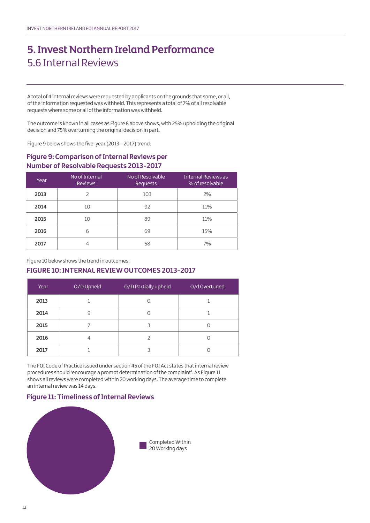## 5. Invest Northern Ireland Performance 5.6 Internal Reviews

A total of 4 internal reviews were requested by applicants on the grounds that some, or all, of the information requested was withheld. This represents a total of 7% of all resolvable requests where some or all of the information was withheld.

The outcome is known in all cases as Figure 8 above shows, with 25% upholding the original decision and 75% overturning the original decision in part.

Figure 9 below shows the five-year (2013 – 2017) trend.

### **Figure 9: Comparison of Internal Reviews per Number of Resolvable Requests 2013-2017**

| Year | No of Internal<br><b>Reviews</b> | No of Resolvable<br><b>Requests</b> | Internal Reviews as<br>% of resolvable |
|------|----------------------------------|-------------------------------------|----------------------------------------|
| 2013 |                                  | 103                                 | 2%                                     |
| 2014 | 10                               | 92                                  | 11%                                    |
| 2015 | 10                               | 89                                  | 11%                                    |
| 2016 | 6                                | 69                                  | 15%                                    |
| 2017 |                                  | 58                                  | 7%                                     |

Figure 10 below shows the trend in outcomes:

### **FIGURE 10: INTERNAL REVIEW OUTCOMES 2013-2017**

| Year | O/D Upheld | O/D Partially upheld | O/d Overtuned |
|------|------------|----------------------|---------------|
| 2013 |            |                      |               |
| 2014 | 9          |                      |               |
| 2015 |            |                      |               |
| 2016 | 4          |                      |               |
| 2017 |            |                      |               |

The FOI Code of Practice issued under section 45 of the FOI Act states that internal review procedures should 'encourage a prompt determination of the complaint'. As Figure 11 shows all reviews were completed within 20 working days. The average time to complete an internal review was 14 days.

### **Figure 11: Timeliness of Internal Reviews**

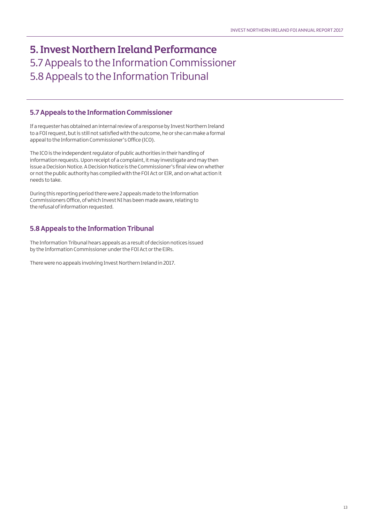## 5. Invest Northern Ireland Performance 5.7 Appeals to the Information Commissioner 5.8 Appeals to the Information Tribunal

### **5.7 Appeals to the Information Commissioner**

If a requester has obtained an internal review of a response by Invest Northern Ireland to a FOI request, but is still not satisfied with the outcome, he or she can make a formal appeal to the Information Commissioner's Office (ICO).

The ICO is the independent regulator of public authorities in their handling of information requests. Upon receipt of a complaint, it may investigate and may then issue a Decision Notice. A Decision Notice is the Commissioner's final view on whether or not the public authority has complied with the FOI Act or EIR, and on what action it needs to take.

During this reporting period there were 2 appeals made to the Information Commissioners Office, of which Invest NI has been made aware, relating to the refusal of information requested.

### **5.8 Appeals to the Information Tribunal**

The Information Tribunal hears appeals as a result of decision notices issued by the Information Commissioner under the FOI Act or the EIRs.

There were no appeals involving Invest Northern Ireland in 2017.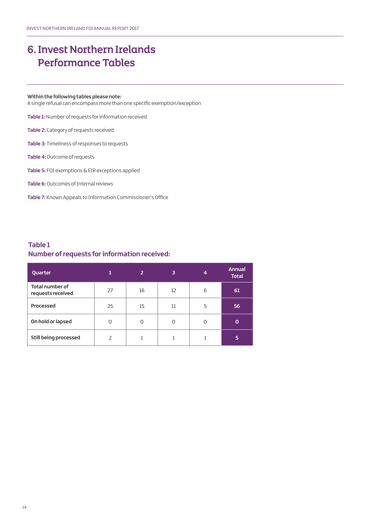### **Within the following tables please note:**

A single refusal can encompass more than one specific exemption/exception

**Table 1:**Number of requests for information received

**Table 2:** Category of requests received

**Table 3:** Timeliness of responses to requests

**Table 4:** Outcome of requests

**Table 5:** FOI exemptions & EIR exceptions applied

**Table 6:**Outcomes of Internal reviews

**Table 7:** Known Appeals to Information Commissioner's Office

### **Table 1 Number of requests for information received:**

| Quarter                                     |               | $\overline{2}$ | 3  | $\overline{4}$ | <b>Annual</b><br><b>Total</b> |
|---------------------------------------------|---------------|----------------|----|----------------|-------------------------------|
| <b>Total number of</b><br>requests received | 27            | 16             | 12 | 6              | 61                            |
| Processed                                   | 25            | 15             | 11 | 5              | 56                            |
| On hold or lapsed                           | $\Omega$      | 0              | 0  | $\Omega$       | O                             |
| <b>Still being processed</b>                | $\mathcal{P}$ |                |    |                | 5                             |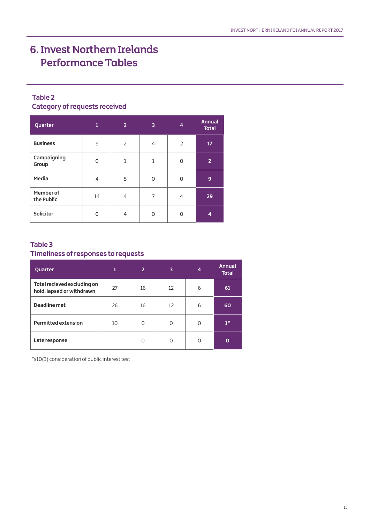### **Table 2 Category of requests received**

| Quarter                 | 1              | $\overline{2}$ | 3              | 4              | <b>Annual</b><br><b>Total</b> |
|-------------------------|----------------|----------------|----------------|----------------|-------------------------------|
| <b>Business</b>         | 9              | 2              | $\overline{4}$ | $\overline{2}$ | 17                            |
| Campaigning<br>Group    | O              | $\mathbf{1}$   | $\mathbf{1}$   | O              | $\overline{2}$                |
| Media                   | $\overline{4}$ | 5              | O              | $\Omega$       | 9                             |
| Member of<br>the Public | 14             | 4              | 7              | $\overline{4}$ | 29                            |
| Solicitor               | Ω              | $\overline{4}$ | ∩              | ∩              | 4                             |

### **Table 3 Timeliness of responses to requests**

| Quarter                                                  | 1  | $\overline{2}$ | 3  | 4 | <b>Annual</b><br><b>Total</b> |
|----------------------------------------------------------|----|----------------|----|---|-------------------------------|
| Total recieved excluding on<br>hold, lapsed or withdrawn | 27 | 16             | 12 | 6 | 61                            |
| Deadline met                                             | 26 | 16             | 12 | 6 | 60                            |
| <b>Permitted extension</b>                               | 10 | O              | 0  | 0 | $1^*$                         |
| Late response                                            |    | O              | O  | O | Ο                             |

\*s10(3) consideration of public interest test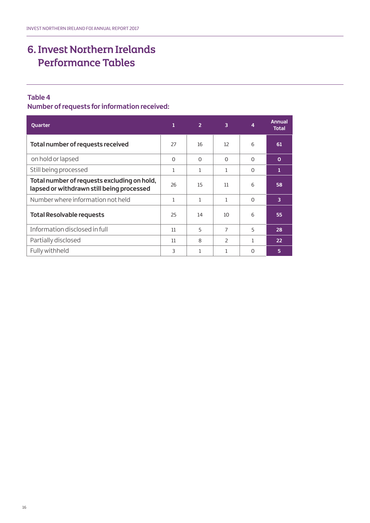### **Table 4**

**Number of requests for information received:** 

| <b>Quarter</b>                                                                           | $\mathbf{1}$ | $\overline{2}$ | 3                        | 4        | <b>Annual</b><br><b>Total</b> |
|------------------------------------------------------------------------------------------|--------------|----------------|--------------------------|----------|-------------------------------|
| Total number of requests received                                                        | 27           | 16             | 12                       | 6        | 61                            |
| on hold or lapsed                                                                        | $\Omega$     | $\Omega$       | $\Omega$                 | $\Omega$ | $\mathbf{o}$                  |
| Still being processed                                                                    | 1            | 1              | 1                        | $\Omega$ | 1                             |
| Total number of requests excluding on hold,<br>lapsed or withdrawn still being processed | 26           | 15             | 11                       | 6        | 58                            |
| Number where information not held                                                        | 1            | 1              | 1                        | $\Omega$ | 3                             |
| <b>Total Resolvable requests</b>                                                         | 25           | 14             | 10                       | 6        | 55                            |
| Information disclosed in full                                                            | 11           | 5              | $\overline{7}$           | 5        | 28                            |
| Partially disclosed                                                                      | 11           | $\mathsf{R}$   | $\overline{\phantom{a}}$ | 1        | 22                            |
| Fully withheld                                                                           | 3            | 1              | 1                        | $\Omega$ | 5                             |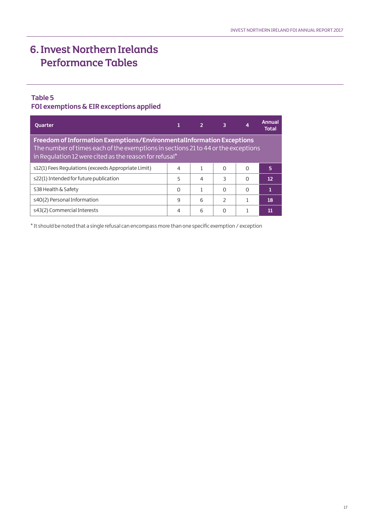### **Table 5**

### **FOI exemptions & EIR exceptions applied**

| <b>Quarter</b>                                                                                                                                                                                                       |   |   | 3                        | 4        | Annual<br><b>Total</b> |  |
|----------------------------------------------------------------------------------------------------------------------------------------------------------------------------------------------------------------------|---|---|--------------------------|----------|------------------------|--|
| Freedom of Information Exemptions/EnvironmentalInformation Exceptions<br>The number of times each of the exemptions in sections 21 to 44 or the exceptions<br>in Requlation 12 were cited as the reason for refusal* |   |   |                          |          |                        |  |
| s12(1) Fees Regulations (exceeds Appropriate Limit)                                                                                                                                                                  | 4 |   | $\Omega$                 | $\Omega$ | 5                      |  |
| s22(1) Intended for future publication                                                                                                                                                                               | 5 | 4 | 3                        | O        | 12                     |  |
| S38 Health & Safety                                                                                                                                                                                                  | O |   | $\Omega$                 | $\Omega$ | 1                      |  |
| s40(2) Personal Information                                                                                                                                                                                          | 9 | 6 | $\overline{\phantom{0}}$ |          | 18                     |  |
| s43(2) Commercial Interests                                                                                                                                                                                          | 4 | 6 | O                        |          | 11                     |  |

\* It should be noted that a single refusal can encompass more than one specific exemption / exception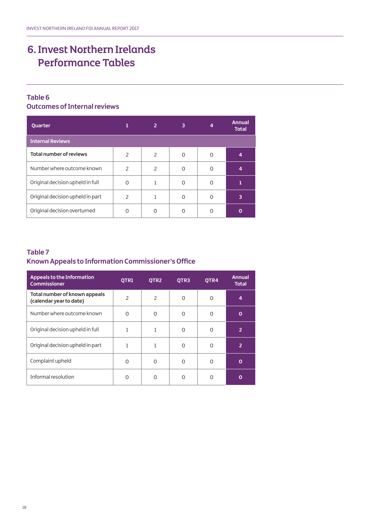## **Table 6**

### **Outcomes of Internal reviews**

| <b>Quarter</b>                   |                          |                | 3 |   | <b>Annual</b><br><b>Total</b> |
|----------------------------------|--------------------------|----------------|---|---|-------------------------------|
| <b>Internal Reviews</b>          |                          |                |   |   |                               |
| <b>Total number of reviews</b>   | $\overline{\phantom{a}}$ | $\overline{2}$ | ∩ | O | 4                             |
| Number where outcome known       | $\overline{\phantom{0}}$ | 2              | ∩ | O | 4                             |
| Original decision upheld in full | O                        |                | ∩ | ∩ |                               |
| Original decision upheld in part | $\overline{\phantom{a}}$ |                | ∩ | ∩ | 3                             |
| Original decision overturned     | ∩                        |                |   |   |                               |

### **Table 7 Known Appeals to Information Commissioner's Office**

| Appeals to the Information<br><b>Commissioner</b>        | OTR1                     | OTR <sub>2</sub> | OTR3     | OTR4     | <b>Annual</b><br><b>Total</b> |
|----------------------------------------------------------|--------------------------|------------------|----------|----------|-------------------------------|
| Total number of known appeals<br>(calendar year to date) | $\overline{\phantom{a}}$ | $\overline{2}$   | $\Omega$ | $\Omega$ | $\overline{4}$                |
| Number where outcome known                               | $\Omega$                 | $\Omega$         | $\Omega$ | $\Omega$ | O                             |
| Original decision upheld in full                         |                          | 1                | $\Omega$ | $\Omega$ | $\overline{2}$                |
| Original decision upheld in part                         |                          | 1                | U        | O        | $\overline{2}$                |
| Complaint upheld                                         | O                        | 0                | O        | ∩        | O                             |
| Informal resolution                                      | U                        | O                | Ω        | n        | O                             |